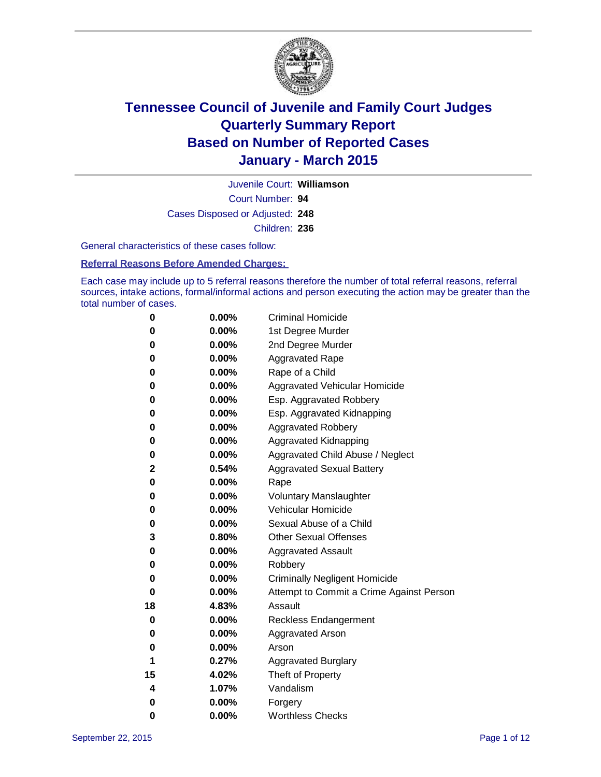

Court Number: **94** Juvenile Court: **Williamson** Cases Disposed or Adjusted: **248** Children: **236**

General characteristics of these cases follow:

#### **Referral Reasons Before Amended Charges:**

Each case may include up to 5 referral reasons therefore the number of total referral reasons, referral sources, intake actions, formal/informal actions and person executing the action may be greater than the total number of cases.

| 0  | 0.00%    | <b>Criminal Homicide</b>                 |
|----|----------|------------------------------------------|
| 0  | 0.00%    | 1st Degree Murder                        |
| 0  | 0.00%    | 2nd Degree Murder                        |
| 0  | 0.00%    | <b>Aggravated Rape</b>                   |
| 0  | 0.00%    | Rape of a Child                          |
| 0  | 0.00%    | <b>Aggravated Vehicular Homicide</b>     |
| 0  | 0.00%    | Esp. Aggravated Robbery                  |
| 0  | 0.00%    | Esp. Aggravated Kidnapping               |
| 0  | 0.00%    | <b>Aggravated Robbery</b>                |
| 0  | 0.00%    | Aggravated Kidnapping                    |
| 0  | 0.00%    | Aggravated Child Abuse / Neglect         |
| 2  | 0.54%    | <b>Aggravated Sexual Battery</b>         |
| 0  | 0.00%    | Rape                                     |
| 0  | 0.00%    | <b>Voluntary Manslaughter</b>            |
| 0  | 0.00%    | Vehicular Homicide                       |
| 0  | $0.00\%$ | Sexual Abuse of a Child                  |
| 3  | 0.80%    | <b>Other Sexual Offenses</b>             |
| 0  | 0.00%    | <b>Aggravated Assault</b>                |
| 0  | 0.00%    | Robbery                                  |
| 0  | 0.00%    | <b>Criminally Negligent Homicide</b>     |
| 0  | 0.00%    | Attempt to Commit a Crime Against Person |
| 18 | 4.83%    | Assault                                  |
| 0  | 0.00%    | <b>Reckless Endangerment</b>             |
| 0  | 0.00%    | <b>Aggravated Arson</b>                  |
| 0  | $0.00\%$ | Arson                                    |
| 1  | 0.27%    | <b>Aggravated Burglary</b>               |
| 15 | 4.02%    | Theft of Property                        |
| 4  | 1.07%    | Vandalism                                |
| 0  | 0.00%    | Forgery                                  |
| 0  | 0.00%    | <b>Worthless Checks</b>                  |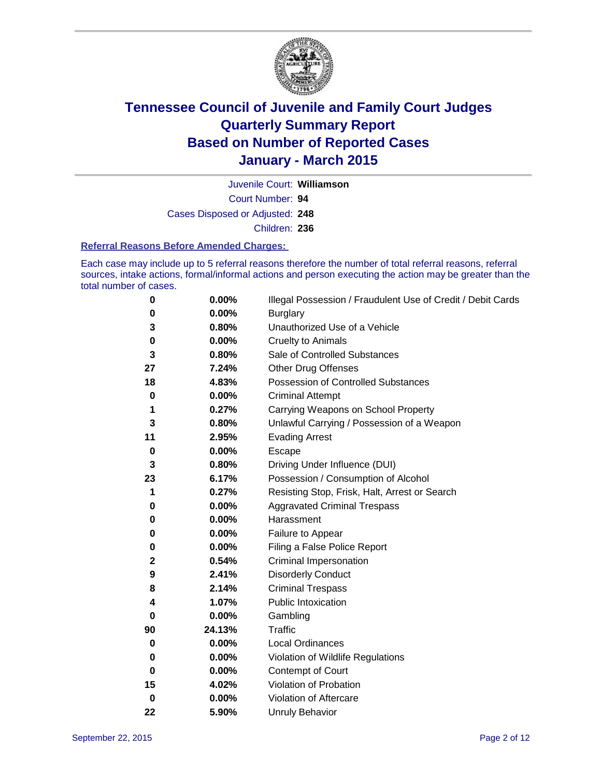

Court Number: **94** Juvenile Court: **Williamson** Cases Disposed or Adjusted: **248** Children: **236**

#### **Referral Reasons Before Amended Charges:**

Each case may include up to 5 referral reasons therefore the number of total referral reasons, referral sources, intake actions, formal/informal actions and person executing the action may be greater than the total number of cases.

| 0           | 0.00%    | Illegal Possession / Fraudulent Use of Credit / Debit Cards |
|-------------|----------|-------------------------------------------------------------|
| 0           | 0.00%    | <b>Burglary</b>                                             |
| 3           | 0.80%    | Unauthorized Use of a Vehicle                               |
| 0           | $0.00\%$ | <b>Cruelty to Animals</b>                                   |
| 3           | 0.80%    | Sale of Controlled Substances                               |
| 27          | 7.24%    | <b>Other Drug Offenses</b>                                  |
| 18          | 4.83%    | Possession of Controlled Substances                         |
| 0           | $0.00\%$ | <b>Criminal Attempt</b>                                     |
| 1           | 0.27%    | Carrying Weapons on School Property                         |
| 3           | 0.80%    | Unlawful Carrying / Possession of a Weapon                  |
| 11          | 2.95%    | <b>Evading Arrest</b>                                       |
| 0           | 0.00%    | Escape                                                      |
| 3           | 0.80%    | Driving Under Influence (DUI)                               |
| 23          | 6.17%    | Possession / Consumption of Alcohol                         |
| 1           | 0.27%    | Resisting Stop, Frisk, Halt, Arrest or Search               |
| 0           | 0.00%    | <b>Aggravated Criminal Trespass</b>                         |
| 0           | $0.00\%$ | Harassment                                                  |
| 0           | 0.00%    | Failure to Appear                                           |
| 0           | $0.00\%$ | Filing a False Police Report                                |
| $\mathbf 2$ | 0.54%    | <b>Criminal Impersonation</b>                               |
| 9           | 2.41%    | <b>Disorderly Conduct</b>                                   |
| 8           | 2.14%    | <b>Criminal Trespass</b>                                    |
| 4           | 1.07%    | <b>Public Intoxication</b>                                  |
| 0           | 0.00%    | Gambling                                                    |
| 90          | 24.13%   | <b>Traffic</b>                                              |
| 0           | 0.00%    | Local Ordinances                                            |
| 0           | $0.00\%$ | Violation of Wildlife Regulations                           |
| 0           | 0.00%    | Contempt of Court                                           |
| 15          | 4.02%    | Violation of Probation                                      |
| 0           | 0.00%    | Violation of Aftercare                                      |
| 22          | 5.90%    | <b>Unruly Behavior</b>                                      |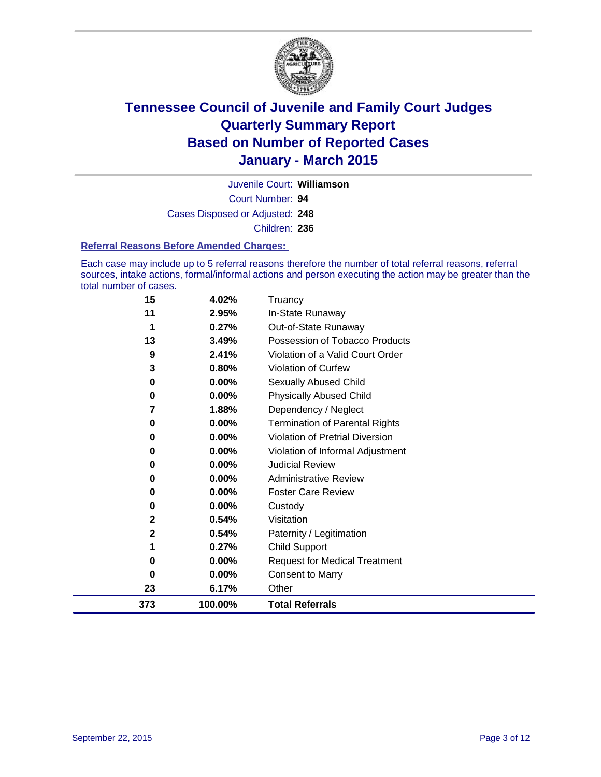

Court Number: **94** Juvenile Court: **Williamson** Cases Disposed or Adjusted: **248** Children: **236**

#### **Referral Reasons Before Amended Charges:**

Each case may include up to 5 referral reasons therefore the number of total referral reasons, referral sources, intake actions, formal/informal actions and person executing the action may be greater than the total number of cases.

| 15  | 4.02%    | Truancy                                |
|-----|----------|----------------------------------------|
| 11  | 2.95%    | In-State Runaway                       |
| 1   | 0.27%    | Out-of-State Runaway                   |
| 13  | 3.49%    | Possession of Tobacco Products         |
| 9   | 2.41%    | Violation of a Valid Court Order       |
| 3   | 0.80%    | <b>Violation of Curfew</b>             |
| 0   | 0.00%    | <b>Sexually Abused Child</b>           |
| 0   | 0.00%    | <b>Physically Abused Child</b>         |
| 7   | 1.88%    | Dependency / Neglect                   |
| 0   | 0.00%    | <b>Termination of Parental Rights</b>  |
| 0   | 0.00%    | <b>Violation of Pretrial Diversion</b> |
| 0   | 0.00%    | Violation of Informal Adjustment       |
| 0   | 0.00%    | <b>Judicial Review</b>                 |
| 0   | 0.00%    | <b>Administrative Review</b>           |
| 0   | 0.00%    | <b>Foster Care Review</b>              |
| 0   | $0.00\%$ | Custody                                |
| 2   | 0.54%    | Visitation                             |
| 2   | 0.54%    | Paternity / Legitimation               |
| 1   | 0.27%    | <b>Child Support</b>                   |
| 0   | 0.00%    | <b>Request for Medical Treatment</b>   |
| 0   | 0.00%    | <b>Consent to Marry</b>                |
| 23  | 6.17%    | Other                                  |
| 373 | 100.00%  | <b>Total Referrals</b>                 |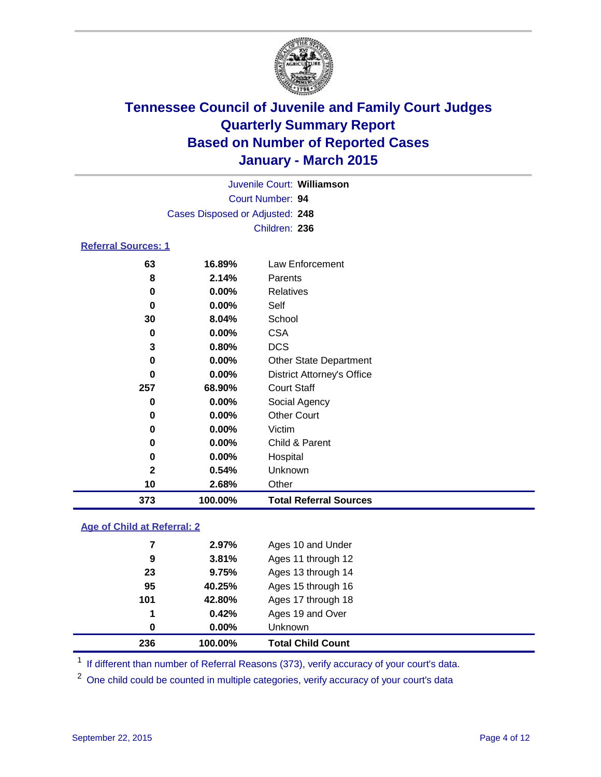

| Juvenile Court: Williamson      |  |
|---------------------------------|--|
| Court Number: 94                |  |
| Cases Disposed or Adjusted: 248 |  |
| Children: 236                   |  |

### **Referral Sources: 1**

| 373 | 100.00%  | <b>Total Referral Sources</b>     |
|-----|----------|-----------------------------------|
| 10  | 2.68%    | Other                             |
| 2   | 0.54%    | Unknown                           |
| 0   | $0.00\%$ | Hospital                          |
| 0   | $0.00\%$ | Child & Parent                    |
| 0   | 0.00%    | Victim                            |
| 0   | $0.00\%$ | <b>Other Court</b>                |
| 0   | $0.00\%$ | Social Agency                     |
| 257 | 68.90%   | <b>Court Staff</b>                |
| 0   | $0.00\%$ | <b>District Attorney's Office</b> |
| 0   | $0.00\%$ | <b>Other State Department</b>     |
| 3   | 0.80%    | <b>DCS</b>                        |
| 0   | $0.00\%$ | <b>CSA</b>                        |
| 30  | 8.04%    | School                            |
| 0   | $0.00\%$ | Self                              |
| 0   | 0.00%    | Relatives                         |
| 8   | 2.14%    | Parents                           |
| 63  | 16.89%   | Law Enforcement                   |

### **Age of Child at Referral: 2**

| 236 | 100.00%  | <b>Total Child Count</b> |
|-----|----------|--------------------------|
| 0   | $0.00\%$ | <b>Unknown</b>           |
| 1   | 0.42%    | Ages 19 and Over         |
| 101 | 42.80%   | Ages 17 through 18       |
| 95  | 40.25%   | Ages 15 through 16       |
| 23  | 9.75%    | Ages 13 through 14       |
| 9   | 3.81%    | Ages 11 through 12       |
| 7   | 2.97%    | Ages 10 and Under        |

<sup>1</sup> If different than number of Referral Reasons (373), verify accuracy of your court's data.

One child could be counted in multiple categories, verify accuracy of your court's data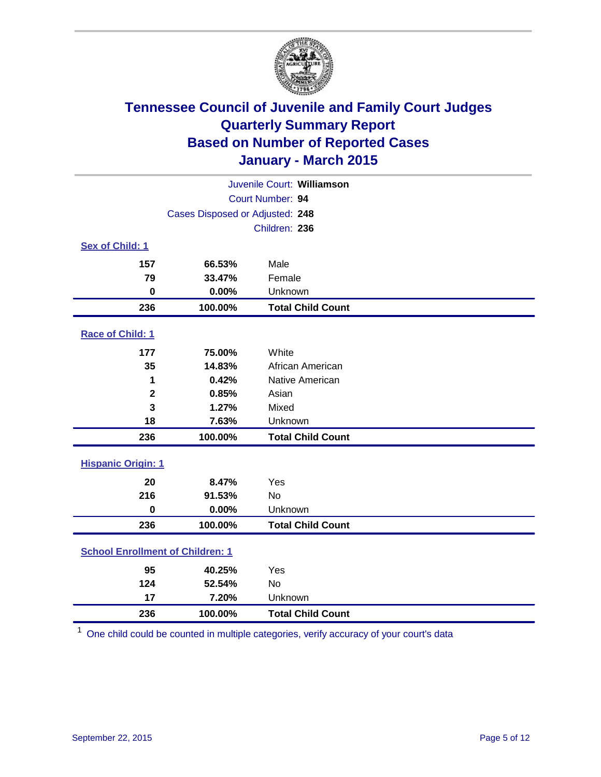

| Juvenile Court: Williamson              |                                 |                          |  |  |
|-----------------------------------------|---------------------------------|--------------------------|--|--|
|                                         | Court Number: 94                |                          |  |  |
|                                         | Cases Disposed or Adjusted: 248 |                          |  |  |
|                                         |                                 | Children: 236            |  |  |
| Sex of Child: 1                         |                                 |                          |  |  |
| 157                                     | 66.53%                          | Male                     |  |  |
| 79                                      | 33.47%                          | Female                   |  |  |
| $\bf{0}$                                | 0.00%                           | Unknown                  |  |  |
| 236                                     | 100.00%                         | <b>Total Child Count</b> |  |  |
| Race of Child: 1                        |                                 |                          |  |  |
| 177                                     | 75.00%                          | White                    |  |  |
| 35                                      | 14.83%                          | African American         |  |  |
| 1                                       | 0.42%                           | Native American          |  |  |
| $\mathbf{2}$                            | 0.85%                           | Asian                    |  |  |
| 3                                       | 1.27%                           | Mixed                    |  |  |
| 18                                      | 7.63%                           | Unknown                  |  |  |
| 236                                     | 100.00%                         | <b>Total Child Count</b> |  |  |
| <b>Hispanic Origin: 1</b>               |                                 |                          |  |  |
| 20                                      | 8.47%                           | Yes                      |  |  |
| 216                                     | 91.53%                          | <b>No</b>                |  |  |
| 0                                       | 0.00%                           | Unknown                  |  |  |
| 236                                     | 100.00%                         | <b>Total Child Count</b> |  |  |
| <b>School Enrollment of Children: 1</b> |                                 |                          |  |  |
| 95                                      | 40.25%                          | Yes                      |  |  |
| 124                                     | 52.54%                          | <b>No</b>                |  |  |
| 17                                      | 7.20%                           | Unknown                  |  |  |
| 236                                     | 100.00%                         | <b>Total Child Count</b> |  |  |

One child could be counted in multiple categories, verify accuracy of your court's data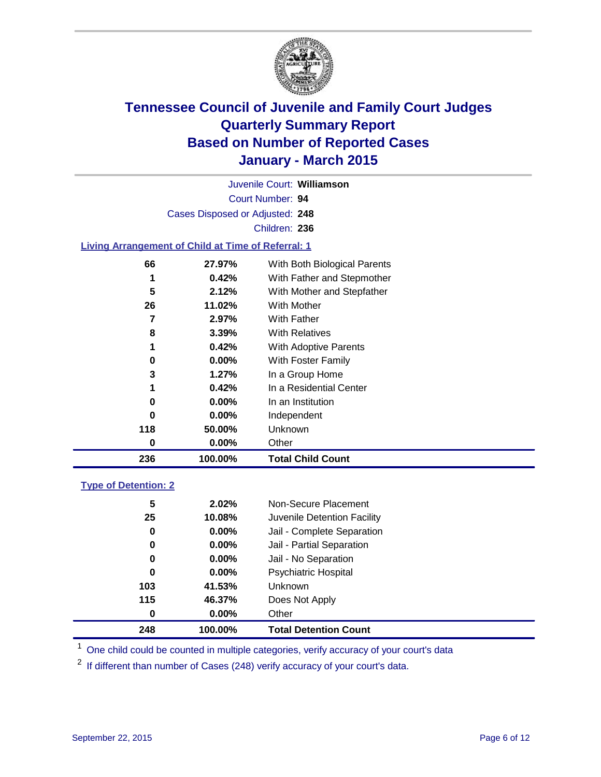

Court Number: **94** Juvenile Court: **Williamson** Cases Disposed or Adjusted: **248** Children: **236**

### **Living Arrangement of Child at Time of Referral: 1**

| 236 | 100.00%  | <b>Total Child Count</b>     |
|-----|----------|------------------------------|
| 0   | $0.00\%$ | Other                        |
| 118 | 50.00%   | Unknown                      |
| 0   | $0.00\%$ | Independent                  |
| 0   | $0.00\%$ | In an Institution            |
| 1   | 0.42%    | In a Residential Center      |
| 3   | 1.27%    | In a Group Home              |
| 0   | $0.00\%$ | With Foster Family           |
| 1   | 0.42%    | With Adoptive Parents        |
| 8   | 3.39%    | <b>With Relatives</b>        |
| 7   | 2.97%    | With Father                  |
| 26  | 11.02%   | With Mother                  |
| 5   | 2.12%    | With Mother and Stepfather   |
| 1   | 0.42%    | With Father and Stepmother   |
| 66  | 27.97%   | With Both Biological Parents |
|     |          |                              |

#### **Type of Detention: 2**

| 248 | 100.00%  | <b>Total Detention Count</b> |  |
|-----|----------|------------------------------|--|
| 0   | $0.00\%$ | Other                        |  |
| 115 | 46.37%   | Does Not Apply               |  |
| 103 | 41.53%   | <b>Unknown</b>               |  |
| 0   | $0.00\%$ | Psychiatric Hospital         |  |
| 0   | $0.00\%$ | Jail - No Separation         |  |
| 0   | $0.00\%$ | Jail - Partial Separation    |  |
| 0   | $0.00\%$ | Jail - Complete Separation   |  |
| 25  | 10.08%   | Juvenile Detention Facility  |  |
| 5   | 2.02%    | Non-Secure Placement         |  |
|     |          |                              |  |

<sup>1</sup> One child could be counted in multiple categories, verify accuracy of your court's data

If different than number of Cases (248) verify accuracy of your court's data.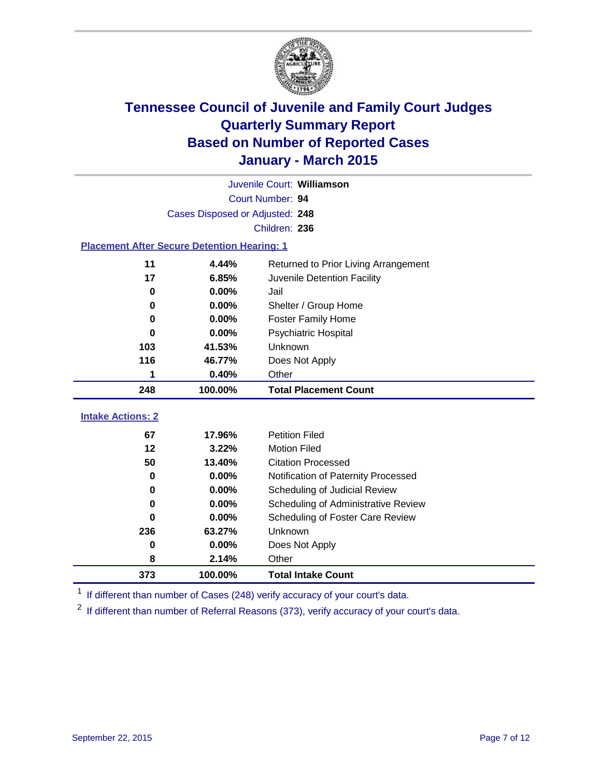

|                                                    | Juvenile Court: Williamson      |                                      |  |  |  |  |
|----------------------------------------------------|---------------------------------|--------------------------------------|--|--|--|--|
|                                                    | Court Number: 94                |                                      |  |  |  |  |
|                                                    | Cases Disposed or Adjusted: 248 |                                      |  |  |  |  |
|                                                    | Children: 236                   |                                      |  |  |  |  |
| <b>Placement After Secure Detention Hearing: 1</b> |                                 |                                      |  |  |  |  |
| 11                                                 | 4.44%                           | Returned to Prior Living Arrangement |  |  |  |  |
| 17                                                 | 6.85%                           | Juvenile Detention Facility          |  |  |  |  |
| 0                                                  | 0.00%                           | Jail                                 |  |  |  |  |
| 0                                                  | 0.00%                           | Shelter / Group Home                 |  |  |  |  |
| 0                                                  | 0.00%                           | <b>Foster Family Home</b>            |  |  |  |  |
| 0                                                  | 0.00%                           | <b>Psychiatric Hospital</b>          |  |  |  |  |
| 103                                                | 41.53%                          | Unknown                              |  |  |  |  |
| 116                                                | 46.77%                          | Does Not Apply                       |  |  |  |  |
| 1                                                  | 0.40%                           | Other                                |  |  |  |  |
| 248                                                | 100.00%                         | <b>Total Placement Count</b>         |  |  |  |  |
| <b>Intake Actions: 2</b>                           |                                 |                                      |  |  |  |  |
|                                                    |                                 |                                      |  |  |  |  |
| 67                                                 | 17.96%                          | <b>Petition Filed</b>                |  |  |  |  |
| 12                                                 | 3.22%                           | <b>Motion Filed</b>                  |  |  |  |  |
| 50                                                 | 13.40%                          | <b>Citation Processed</b>            |  |  |  |  |
| 0                                                  | 0.00%                           | Notification of Paternity Processed  |  |  |  |  |
| 0                                                  | 0.00%                           | Scheduling of Judicial Review        |  |  |  |  |
| 0                                                  | 0.00%                           | Scheduling of Administrative Review  |  |  |  |  |
| 0                                                  | 0.00%                           | Scheduling of Foster Care Review     |  |  |  |  |
| 236                                                | 63.27%                          | Unknown                              |  |  |  |  |
| 0                                                  | 0.00%                           | Does Not Apply                       |  |  |  |  |
| 8                                                  | 2.14%                           | Other                                |  |  |  |  |
| 373                                                | 100.00%                         | <b>Total Intake Count</b>            |  |  |  |  |

<sup>1</sup> If different than number of Cases (248) verify accuracy of your court's data.

If different than number of Referral Reasons (373), verify accuracy of your court's data.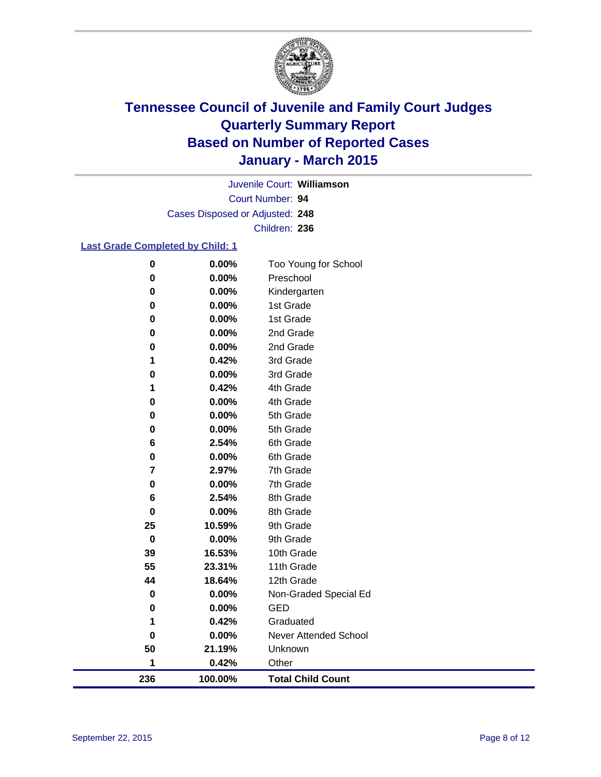

Court Number: **94** Juvenile Court: **Williamson** Cases Disposed or Adjusted: **248** Children: **236**

### **Last Grade Completed by Child: 1**

| 236         | 100.00%        | <b>Total Child Count</b>  |
|-------------|----------------|---------------------------|
| 1           | 0.42%          | Other                     |
| 50          | 21.19%         | Unknown                   |
| $\bf{0}$    | 0.00%          | Never Attended School     |
| 1           | 0.42%          | Graduated                 |
| 0           | 0.00%          | <b>GED</b>                |
| 0           | 0.00%          | Non-Graded Special Ed     |
| 44          | 18.64%         | 12th Grade                |
| 55          | 23.31%         | 11th Grade                |
| 39          | 16.53%         | 10th Grade                |
| $\mathbf 0$ | 0.00%          | 9th Grade                 |
| 25          | 10.59%         | 9th Grade                 |
| 0           | 0.00%          | 8th Grade                 |
| 6           | 2.54%          | 8th Grade                 |
| 0           | 0.00%          | 7th Grade                 |
| 7           | 2.97%          | 7th Grade                 |
| 0           | 0.00%          | 6th Grade                 |
| 6           | 2.54%          | 6th Grade                 |
| 0           | 0.00%          | 5th Grade                 |
| 0           | 0.00%          | 5th Grade                 |
| 0           | 0.00%          | 4th Grade                 |
| 1           | 0.42%          | 4th Grade                 |
| 0           | 0.00%          | 3rd Grade                 |
| 1           | 0.42%          | 3rd Grade                 |
| 0           | 0.00%          | 2nd Grade                 |
| 0           | 0.00%          | 2nd Grade                 |
| 0           | 0.00%          | 1st Grade                 |
| 0           | 0.00%          | Kindergarten<br>1st Grade |
| 0           | 0.00%<br>0.00% |                           |
| $\pmb{0}$   |                | Preschool                 |
| $\pmb{0}$   | 0.00%          | Too Young for School      |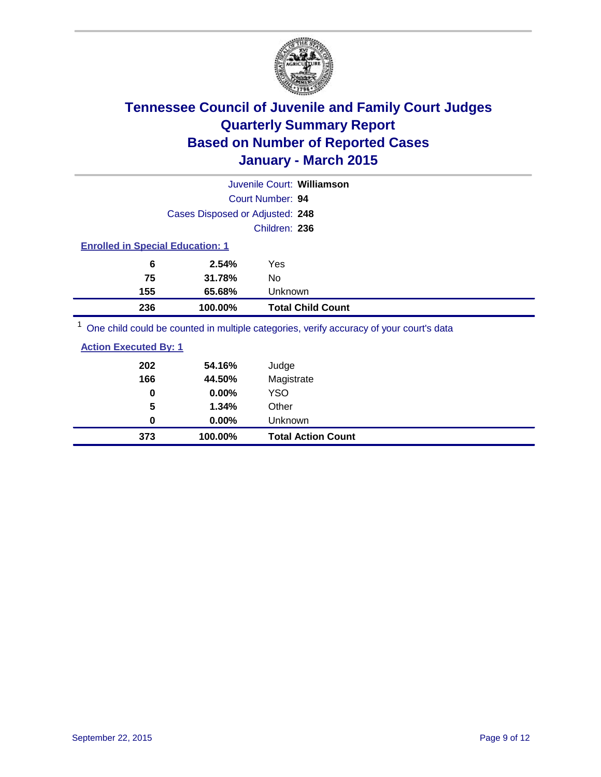

|                                                                                         |                                 | Juvenile Court: Williamson |  |
|-----------------------------------------------------------------------------------------|---------------------------------|----------------------------|--|
|                                                                                         |                                 | Court Number: 94           |  |
|                                                                                         | Cases Disposed or Adjusted: 248 |                            |  |
|                                                                                         |                                 | Children: 236              |  |
| <b>Enrolled in Special Education: 1</b>                                                 |                                 |                            |  |
| 6                                                                                       | 2.54%                           | Yes                        |  |
| 75                                                                                      | 31.78%                          | No                         |  |
| 155                                                                                     | 65.68%                          | Unknown                    |  |
| 236                                                                                     | 100.00%                         | <b>Total Child Count</b>   |  |
| One child could be counted in multiple categories, verify accuracy of your court's data |                                 |                            |  |

| <u>ene</u> enna coma so commos ni manipio catogonos; forni j'accarac j'or foar coatit o aata |        |                |  |  |  |
|----------------------------------------------------------------------------------------------|--------|----------------|--|--|--|
| <b>Action Executed By: 1</b>                                                                 |        |                |  |  |  |
| 202                                                                                          | 54.16% | Judge          |  |  |  |
| 166                                                                                          | 44.50% | Magistrate     |  |  |  |
| 0                                                                                            | 0.00%  | YSO            |  |  |  |
| 5                                                                                            | 1.34%  | Other          |  |  |  |
| 0                                                                                            | 0.00%  | <b>Unknown</b> |  |  |  |

**373 100.00% Total Action Count**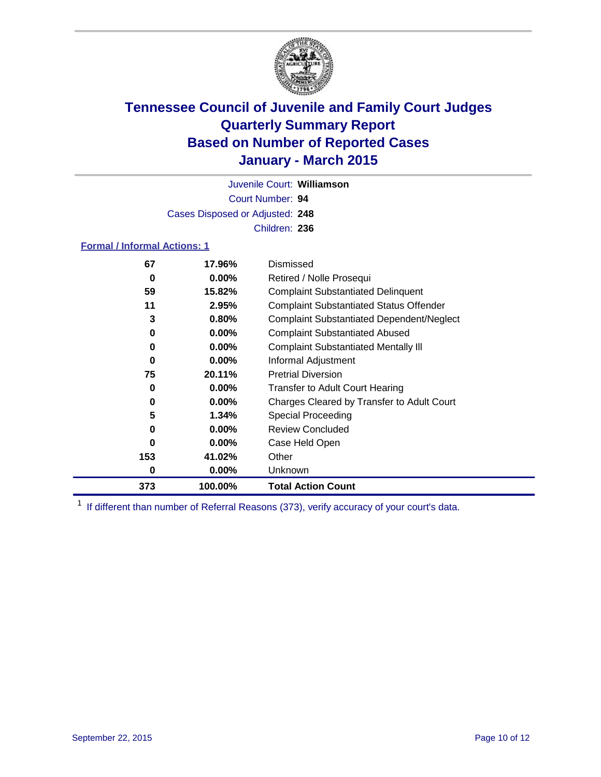

Court Number: **94** Juvenile Court: **Williamson** Cases Disposed or Adjusted: **248** Children: **236**

### **Formal / Informal Actions: 1**

| 67  | 17.96%   | Dismissed                                        |
|-----|----------|--------------------------------------------------|
| 0   | $0.00\%$ | Retired / Nolle Prosequi                         |
| 59  | 15.82%   | <b>Complaint Substantiated Delinquent</b>        |
| 11  | 2.95%    | <b>Complaint Substantiated Status Offender</b>   |
| 3   | 0.80%    | <b>Complaint Substantiated Dependent/Neglect</b> |
| 0   | $0.00\%$ | <b>Complaint Substantiated Abused</b>            |
| 0   | $0.00\%$ | <b>Complaint Substantiated Mentally III</b>      |
| 0   | $0.00\%$ | Informal Adjustment                              |
| 75  | 20.11%   | <b>Pretrial Diversion</b>                        |
| 0   | $0.00\%$ | <b>Transfer to Adult Court Hearing</b>           |
| 0   | $0.00\%$ | Charges Cleared by Transfer to Adult Court       |
| 5   | 1.34%    | Special Proceeding                               |
| 0   | $0.00\%$ | <b>Review Concluded</b>                          |
| 0   | $0.00\%$ | Case Held Open                                   |
| 153 | 41.02%   | Other                                            |
| 0   | $0.00\%$ | <b>Unknown</b>                                   |
| 373 | 100.00%  | <b>Total Action Count</b>                        |

<sup>1</sup> If different than number of Referral Reasons (373), verify accuracy of your court's data.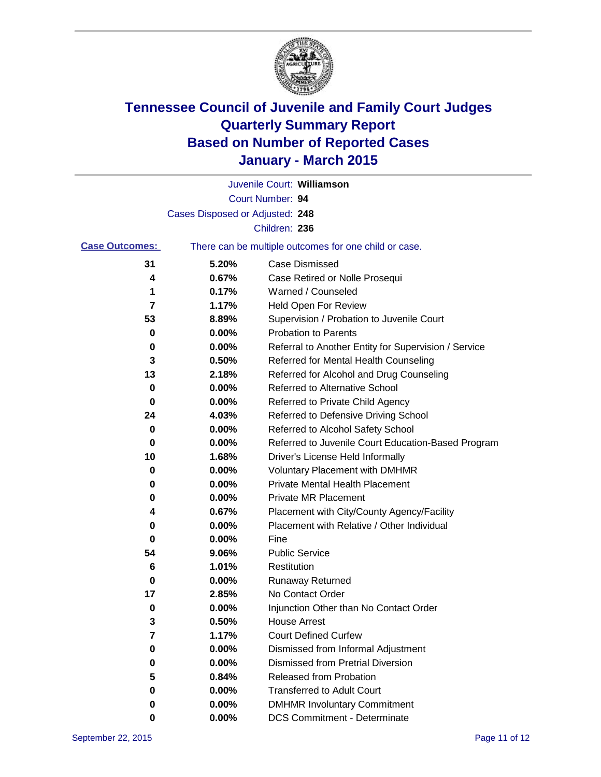

|                       |                                 | Juvenile Court: Williamson                            |
|-----------------------|---------------------------------|-------------------------------------------------------|
|                       |                                 | Court Number: 94                                      |
|                       | Cases Disposed or Adjusted: 248 |                                                       |
|                       |                                 | Children: 236                                         |
| <b>Case Outcomes:</b> |                                 | There can be multiple outcomes for one child or case. |
| 31                    | 5.20%                           | <b>Case Dismissed</b>                                 |
| 4                     | 0.67%                           | Case Retired or Nolle Prosequi                        |
| 1                     | 0.17%                           | Warned / Counseled                                    |
| 7                     | 1.17%                           | Held Open For Review                                  |
| 53                    | 8.89%                           | Supervision / Probation to Juvenile Court             |
| 0                     | 0.00%                           | <b>Probation to Parents</b>                           |
| 0                     | 0.00%                           | Referral to Another Entity for Supervision / Service  |
| 3                     | 0.50%                           | Referred for Mental Health Counseling                 |
| 13                    | 2.18%                           | Referred for Alcohol and Drug Counseling              |
| 0                     | 0.00%                           | <b>Referred to Alternative School</b>                 |
| 0                     | 0.00%                           | Referred to Private Child Agency                      |
| 24                    | 4.03%                           | Referred to Defensive Driving School                  |
| 0                     | 0.00%                           | Referred to Alcohol Safety School                     |
| 0                     | 0.00%                           | Referred to Juvenile Court Education-Based Program    |
| 10                    | 1.68%                           | Driver's License Held Informally                      |
| 0                     | 0.00%                           | <b>Voluntary Placement with DMHMR</b>                 |
| 0                     | 0.00%                           | <b>Private Mental Health Placement</b>                |
| 0                     | 0.00%                           | Private MR Placement                                  |
| 4                     | 0.67%                           | Placement with City/County Agency/Facility            |
| 0                     | 0.00%                           | Placement with Relative / Other Individual            |
| 0                     | 0.00%                           | Fine                                                  |
| 54                    | 9.06%                           | <b>Public Service</b>                                 |
| 6                     | 1.01%                           | Restitution                                           |
| 0                     | 0.00%                           | <b>Runaway Returned</b>                               |
| 17                    | 2.85%                           | No Contact Order                                      |
| 0                     | 0.00%                           | Injunction Other than No Contact Order                |
| 3                     | 0.50%                           | House Arrest                                          |
| 7                     | 1.17%                           | <b>Court Defined Curfew</b>                           |
| 0                     | 0.00%                           | Dismissed from Informal Adjustment                    |
| 0                     | 0.00%                           | <b>Dismissed from Pretrial Diversion</b>              |
| 5                     | 0.84%                           | Released from Probation                               |
| 0                     | 0.00%                           | <b>Transferred to Adult Court</b>                     |
| 0                     | 0.00%                           | <b>DMHMR Involuntary Commitment</b>                   |
| 0                     | $0.00\%$                        | <b>DCS Commitment - Determinate</b>                   |